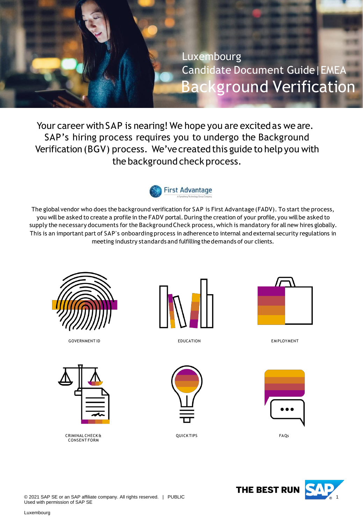<span id="page-0-0"></span>

Your career with SAP is nearing! We hope you are excited as we are. SAP's hiring process requires you to undergo the Background Verification (BGV) process. We've created this guide to help you with the background check process.



The global vendor who does the background verification for SAP is First Advantage (FADV). To start the process, you will be asked to create a profile in the FADV portal. During the creation of your profile, you will be asked to supply the necessary documents for the BackgroundCheck process, which is mandatory for all new hires globally. This is an important part of SAP's onboarding process in adherence to internal and external security regulations in meeting industry standards and fulfilling thedemands of our clients.



GOVERNMENT ID **EDUCATION** EDUCATION **EXAMPLOYMENT** 



CRIMINAL CHECK & CONSENT FORM



EDUCATION



QUICK TIPS FAQs







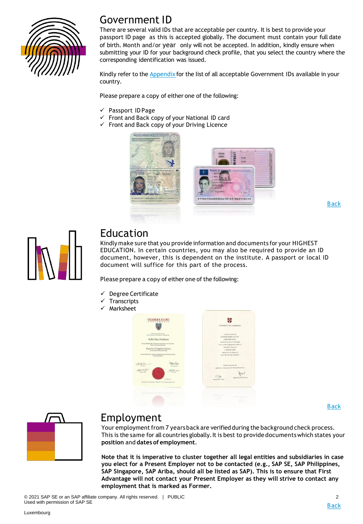

### Government ID

There are several valid IDs that are acceptable per country. It is best to provide your passport ID page as this is accepted globally. The document must contain your full date of birth. Month and/or year only will not be accepted. In addition, kindly ensure when submitting your ID for your background check profile, that you select the country where the corresponding identification was issued.

Kindly refer to the **[Appendix](#page-9-0)** for the list of all acceptable Government IDs available in your country.

Please prepare a copy of either one of the following:

- ✓ Passport ID Page
- Front and Back copy of your National ID card
- ✓ Front and Back copy of your Driving Licence



[Back](#page-0-0)



### Education

Kindly make sure that you provide information and documents for your HIGHEST EDUCATION. In certain countries, you may also be required to provide an ID document, however, this is dependent on the institute. A passport or local ID document will suffice for this part of the process.

Please prepare a copy of either one of the following:

- Degree Certificate
- **Transcripts**
- Marksheet



[Back](#page-0-0)



### Employment

Your employment from 7 years back are verified during the background check process. This is the same for all countries globally. It is best to provide documents which states your **position** and **dates of employment**.

**Note that it is imperative to cluster together all legal entities and subsidiaries in case you elect for a Present Employer not to be contacted (e.g., SAP SE, SAP Philippines, SAP Singapore, SAP Ariba, should all be listed as SAP). This is to ensure that First Advantage will not contact your Present Employer as they will strive to contact any employment that is marked as Former.**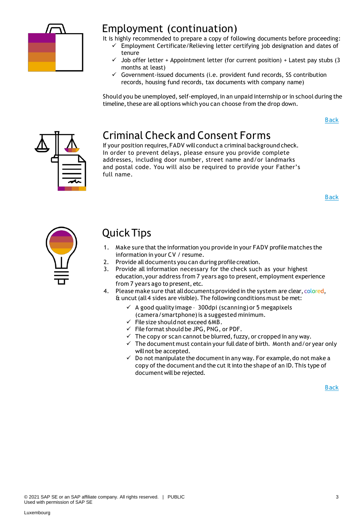

### Employment (continuation)

It is highly recommended to prepare a copy of following documents before proceeding:

- ✓ Employment Certificate/Relieving letter certifying job designation and dates of tenure
	- Job offer letter + Appointment letter (for current position) + Latest pay stubs (3 months at least)
	- $\checkmark$  Government-issued documents (i.e. provident fund records, SS contribution records, housing fund records, tax documents with company name)

Should you be unemployed, self-employed, in an unpaid internship or in school during the timeline, these are all options which you can choose from the drop down.

[Back](#page-0-0)



# Criminal Check and Consent Forms

If your position requires,FADV will conduct a criminal background check. In order to prevent delays, please ensure you provide complete addresses, including door number, street name and/or landmarks and postal code. You will also be required to provide your Father's full name.

[Back](#page-0-0)



# Quick Tips

- 1. Make sure that the information you provide in your FADV profile matches the information in your CV / resume.
- 2. Provide all documents you can during profile creation.
- 3. Provide all information necessary for the check such as your highest education,your address from 7 years ago to present, employment experience from 7 years ago to present, etc.
- 4. Please make sure that all documents provided in the system are clear, colored, & uncut(all 4 sides are visible). The following conditions must be met:
	- $\checkmark$  A good quality image 300dpi (scanning) or 5 megapixels (camera/smartphone)is a suggested minimum.
	- $\checkmark$  File size should not exceed 6MB.
	- $\checkmark$  File format should be JPG, PNG, or PDF.
	- $\checkmark$  The copy or scan cannot be blurred, fuzzy, or cropped in any way.
	- $\checkmark$  The document must contain your full date of birth. Month and/or year only willnot be accepted.
	- $\checkmark$  Do not manipulate the document in any way. For example, do not make a copy of the document and the cut it into the shape of an ID. This type of document will be rejected.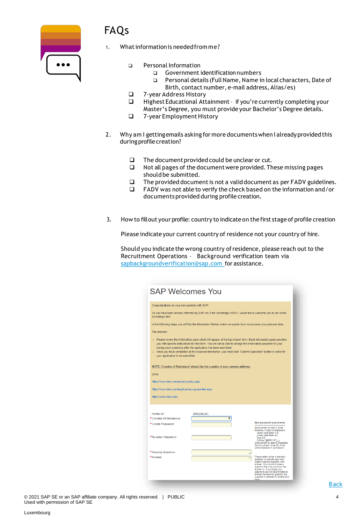

# FAQs

- What information is needed from me?
	- ❑ Personal Information
		- ❑ Government identificationnumbers
		- ❑ Personal details (FullName, Name in local characters, Date of Birth, contact number, e-mail address, Alias/es)
	- ❑ 7-year Address History
	- Highest Educational Attainment if you're currently completing your Master's Degree, you must provide your Bachelor's Degree details.
	- ❑ 7-year EmploymentHistory
- 2. Why am I gettingemails asking for more documentswhen I alreadyprovided this during profile creation?
	- ❑ The documentprovided could be unclear or cut.
	- ❑ Not all pages of the documentwere provided.These missing pages should be submitted.
	- ❑ The provided documentis not a validdocument as per FADV guidelines.
	- ❑ FADV was not able to verify the check based on the information and/or documents provided during profile creation.
- 3. How to fillout your profile: country to indicateon the first stage of profile creation

Please indicate your current country of residence not your country of hire.

Should you indicate the wrong country ofresidence, please reach out to the Recruitment Operations – Background verification team via [sapbackgroundverification@sap.com](mailto:sapbackgroundverification@sap.com) for assistance.

| <b>SAP Welcomes You</b>                                                                                                                                                                                                                                                                                                                                                                                                                                    |                                                                                                                 |                                                                                                                                                                                                                                                                                            |  |  |  |  |  |
|------------------------------------------------------------------------------------------------------------------------------------------------------------------------------------------------------------------------------------------------------------------------------------------------------------------------------------------------------------------------------------------------------------------------------------------------------------|-----------------------------------------------------------------------------------------------------------------|--------------------------------------------------------------------------------------------------------------------------------------------------------------------------------------------------------------------------------------------------------------------------------------------|--|--|--|--|--|
| Congratulations on your new position with SAP!                                                                                                                                                                                                                                                                                                                                                                                                             |                                                                                                                 |                                                                                                                                                                                                                                                                                            |  |  |  |  |  |
| Advantage site!                                                                                                                                                                                                                                                                                                                                                                                                                                            | As you have been already informed by SAP, we, First Advantage (FADV), would like to welcome you to our Direct   |                                                                                                                                                                                                                                                                                            |  |  |  |  |  |
|                                                                                                                                                                                                                                                                                                                                                                                                                                                            | In the following steps you will find the Information Notice where we explain how we process your personal data. |                                                                                                                                                                                                                                                                                            |  |  |  |  |  |
| The process:                                                                                                                                                                                                                                                                                                                                                                                                                                               |                                                                                                                 |                                                                                                                                                                                                                                                                                            |  |  |  |  |  |
| . Please review the information pane which will appear at the top of each form. Each information pane provides<br>you with specific instructions for that form. You will not be able to change the information provided for your<br>background screening after the application has been submitted.<br>- Once you have completed all the required information, you must click "Submit Application" button in order for<br>your application to be submitted. |                                                                                                                 |                                                                                                                                                                                                                                                                                            |  |  |  |  |  |
|                                                                                                                                                                                                                                                                                                                                                                                                                                                            | NOTE: 'Country of Residence' should be the country of your current address.                                     |                                                                                                                                                                                                                                                                                            |  |  |  |  |  |
| Links:                                                                                                                                                                                                                                                                                                                                                                                                                                                     |                                                                                                                 |                                                                                                                                                                                                                                                                                            |  |  |  |  |  |
| https://www.fadv.com/privacy-policy.aspx                                                                                                                                                                                                                                                                                                                                                                                                                   |                                                                                                                 |                                                                                                                                                                                                                                                                                            |  |  |  |  |  |
| https://www.fadv.com/legal-privacy-quarantee.aspx                                                                                                                                                                                                                                                                                                                                                                                                          |                                                                                                                 |                                                                                                                                                                                                                                                                                            |  |  |  |  |  |
| https://www.fadv.com/                                                                                                                                                                                                                                                                                                                                                                                                                                      |                                                                                                                 |                                                                                                                                                                                                                                                                                            |  |  |  |  |  |
|                                                                                                                                                                                                                                                                                                                                                                                                                                                            |                                                                                                                 |                                                                                                                                                                                                                                                                                            |  |  |  |  |  |
| Profile ID:<br>*Country Of Residence                                                                                                                                                                                                                                                                                                                                                                                                                       | <b>XVIGF6LIXC</b>                                                                                               |                                                                                                                                                                                                                                                                                            |  |  |  |  |  |
| *Create Password                                                                                                                                                                                                                                                                                                                                                                                                                                           |                                                                                                                 | <b>New password requirements</b><br>Must contain at least 3 of the<br>following 4 types of characters:<br>Upper case letter A-Z<br>Lower case letter a-z                                                                                                                                   |  |  |  |  |  |
| *Re-enter Password                                                                                                                                                                                                                                                                                                                                                                                                                                         |                                                                                                                 | Digit 0-9<br>Symbol !@#\$%^&*()_+<br>Must contain at least 8 characters<br>Cannot contain three (3) of the<br>same character in succession                                                                                                                                                 |  |  |  |  |  |
| * Security Question                                                                                                                                                                                                                                                                                                                                                                                                                                        |                                                                                                                 | Please select either a standard                                                                                                                                                                                                                                                            |  |  |  |  |  |
| *Answer                                                                                                                                                                                                                                                                                                                                                                                                                                                    |                                                                                                                 | question, or provide your own<br>custom security question, and<br>answer. You should choose a<br>question that only you know the<br>answer to. If you forget your<br>password you will be prompted to<br>answer the security question you<br>supplied or selected to enable your<br>login, |  |  |  |  |  |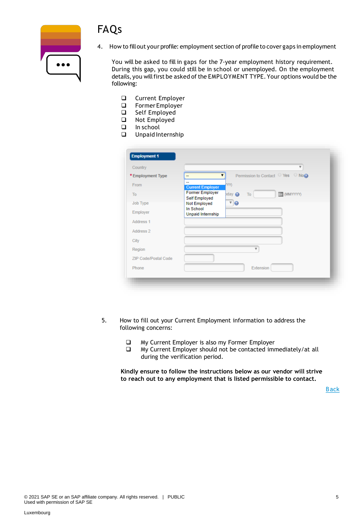

 $\overline{\cdots}$ 

4. How to fillout your profile: employment section of profile to cover gaps in employment

You will be asked to fill in gaps for the 7-year employment history requirement. During this gap, you could still be in school or unemployed. On the employment details, you will first be asked of the EMPLOYMENT TYPE. Your options would be the following:

- ❑ Current Employer
- ❑ Former Employer
- ❑ Self Employed
- ❑ Not Employed
- ❑ In school
- ❑ Unpaid Internship

| Country                     |                                | $\overline{\mathbf{v}}$                |
|-----------------------------|--------------------------------|----------------------------------------|
| *Employment Type            | --                             | Permission to Contact ○ Yes ○ No@<br>▼ |
| From                        | <b>Current Employer</b>        | YY)                                    |
| To                          | <b>Former Employer</b>         | $p$ day<br>(MMYYYYY)<br>To             |
| Job Type                    | Self Employed<br>Not Employed  | $\sqrt{Q}$                             |
| Employer                    | In School<br>Unpaid Internship |                                        |
| Address 1                   |                                |                                        |
| Address 2                   |                                |                                        |
| City                        |                                |                                        |
| Region                      |                                | $\overline{\mathbf{v}}$                |
| <b>ZIP Code/Postal Code</b> |                                |                                        |
| Phone                       |                                | Extension                              |

- 5. How to fill out your Current Employment information to address the following concerns:
	- ❑ My Current Employer is also my Former Employer
	- ❑ My Current Employer should not be contacted immediately/at all during the verification period.

**Kindly ensure to follow the instructions below as our vendor will strive to reach out to any employment that is listed permissible to contact.**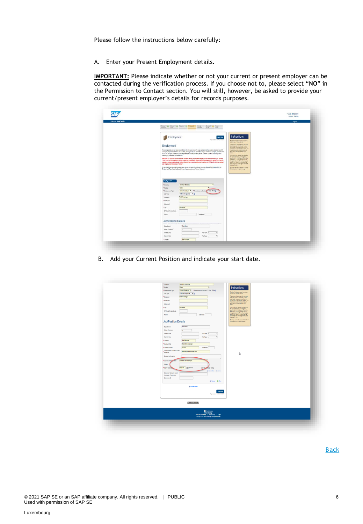Please follow the instructions below carefully:

A. Enter your Present Employment details.

**IMPORTANT:** Please indicate whether or not your current or present employer can be contacted during the verification process. If you choose not to, please select "**NO**" in the Permission to Contact section. You will still, however, be asked to provide your current/present employer's details for records purposes.

| Wektome: Andy TestDA |                                                                                                                                                                                                                                                                                                                                                                                                                                                                                                                                                                                                                                                                                                                                                                                                                                                                                                                                                                                                                                                                                                                                                                                                                                                                                                                                                                                                                        | Leg Out |
|----------------------|------------------------------------------------------------------------------------------------------------------------------------------------------------------------------------------------------------------------------------------------------------------------------------------------------------------------------------------------------------------------------------------------------------------------------------------------------------------------------------------------------------------------------------------------------------------------------------------------------------------------------------------------------------------------------------------------------------------------------------------------------------------------------------------------------------------------------------------------------------------------------------------------------------------------------------------------------------------------------------------------------------------------------------------------------------------------------------------------------------------------------------------------------------------------------------------------------------------------------------------------------------------------------------------------------------------------------------------------------------------------------------------------------------------------|---------|
|                      | livene: O lates O linear O leagues<br><b>Crack</b><br><b>December</b><br><b>SAMP</b><br>Palle<br>stream.                                                                                                                                                                                                                                                                                                                                                                                                                                                                                                                                                                                                                                                                                                                                                                                                                                                                                                                                                                                                                                                                                                                                                                                                                                                                                                               |         |
|                      | Instructions<br>Employment<br><b>Seve New</b><br>Figures at 122415 except<br>Reported for the research to know in<br>assess became we want to.<br>The general Leasenstady away por<br>Employment<br>you happen to the power or creator.<br>connection busine internat: however, you<br>Please complete your full employment history for the past seven (?) years and provide the contact definiti of your HR<br>mig a bit save your empire (interpre-<br>en treb nomine Softion<br>or Payrol department. If this is not available, glease provide the information of your former line manager, and note that<br>base.<br>FACY will still by to proceed in contacting the respective departments per the acadatie numbers and Ared prior to<br>deletting to your stated contact person:<br>tare train is set in set of<br>for consideration classified in<br>any favor response function<br>the problem in well began payed<br>INFORTABLE You will need to indicate whather or not your oursest amployer can be contacted. If you choose<br>"fee", your current employer may be contacted immediately. If you held different positions within your carrent<br>company, please make sure to include them in the present employment section, as FA2V will strive to contact<br>dot or any hour of the program bar.<br>East of the pay of the logist houghts<br>any employment marked as "farmer".<br>to a specific tarrs. |         |
|                      | If you do not have any volk experience or you are not currently versityed, you may choose first Employed in the<br>Retriebuse the Combine's content<br>Employment Type: If you held a paid internet ip, please choose "Former Employer".<br>in hard of this pine ago.<br>Engloyment 1                                                                                                                                                                                                                                                                                                                                                                                                                                                                                                                                                                                                                                                                                                                                                                                                                                                                                                                                                                                                                                                                                                                                  |         |
|                      | UNITED HAVECOM<br>"County<br><b>Exsec</b><br>* lispon<br>Current Entatives #   * Permission to Cardia   C Yes # Reg)<br>* Drainyment Type<br>Full me Employee 7 @<br>Jidi Type<br>First Advertising<br>* Employer                                                                                                                                                                                                                                                                                                                                                                                                                                                                                                                                                                                                                                                                                                                                                                                                                                                                                                                                                                                                                                                                                                                                                                                                      |         |
|                      | *Address 1<br>Address 2<br>Coktester<br>*Cty<br>ZP Code/Poital Code<br>Phota<br>Estatean                                                                                                                                                                                                                                                                                                                                                                                                                                                                                                                                                                                                                                                                                                                                                                                                                                                                                                                                                                                                                                                                                                                                                                                                                                                                                                                               |         |
|                      | <b>Job/Position Details</b>                                                                                                                                                                                                                                                                                                                                                                                                                                                                                                                                                                                                                                                                                                                                                                                                                                                                                                                                                                                                                                                                                                                                                                                                                                                                                                                                                                                            |         |
|                      | Operations<br>Department<br>Salary Currency<br>Starting Pay<br>Pay Type :-<br>ï<br>Current Pay<br>Pay Type -<br>Line Manager<br>*Contact                                                                                                                                                                                                                                                                                                                                                                                                                                                                                                                                                                                                                                                                                                                                                                                                                                                                                                                                                                                                                                                                                                                                                                                                                                                                               |         |

B. Add your Current Position and indicate your start date.

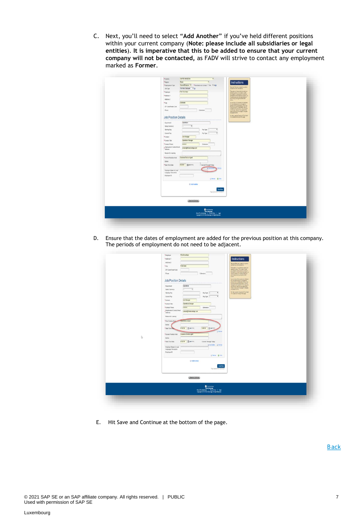C. Next, you'll need to select "**Add Another**" if you've held different positions within your current company (**Note: please include all subsidiaries or legal entities**). **It is imperative that this to be added to ensure that your current company will not be contacted,** as FADV will strive to contact any employment marked as **Former**.

| UNITED NNSCON<br>*Coastry<br>$\cdot$                                          |                                                                                                                |
|-------------------------------------------------------------------------------|----------------------------------------------------------------------------------------------------------------|
| <b>Exer</b><br>*Region<br>٠                                                   | Instructions                                                                                                   |
| Current Employer * * Fermination to Contact 17 Year * Rog<br>*Employment Type |                                                                                                                |
| Ful-time Employee # @<br>Job Type                                             | flessied felds are noted by a jetter<br>interesting and red america.                                           |
| Fird Advantage<br>*Employer                                                   | The system of accompany base your<br>date employers 13 minutes, notes<br>you happen to integrate an operator   |
| *Atdess 1.                                                                    | convetter to the memor housing you.                                                                            |
| Address 2                                                                     | my att sak jay ennu cred, at<br>any timely closing the Skift side<br>botter.                                   |
| Cotteder<br>*ciy                                                              | Your written will be seved an studies and                                                                      |
| 2P Code/Fordal Code                                                           | for considerance at you couple to:<br>promotive the system. Fyes: OSI<br>charges to the health in this map and |
| Phone<br>Extension                                                            |                                                                                                                |
|                                                                               | contacts to superior the collection<br>Massehrhm.                                                              |
| <b>Job/Position Details</b>                                                   | for their year the "Duestoned Clus them"<br>This support in the top of the page                                |
| Constitute<br>Department                                                      |                                                                                                                |
| Salary Currency<br>٠                                                          |                                                                                                                |
| $\cdot$<br>Starting Pay<br>$PeyType$ -                                        |                                                                                                                |
| ٠<br>Cartest Pay<br>$PayTysu =$                                               |                                                                                                                |
| *Contact<br>Line Manager                                                      |                                                                                                                |
| *ContactTitle<br>Operations Manager                                           |                                                                                                                |
| *Contact Phone<br>302033<br>Extension                                         |                                                                                                                |
| . Employment Contact Email<br>contact@finitativantage.com                     |                                                                                                                |
| Attess                                                                        |                                                                                                                |
| Reason for Leaving                                                            |                                                                                                                |
| *Current Position Held<br>Customer Dervice Agent                              |                                                                                                                |
| Dates                                                                         |                                                                                                                |
| 412019   图 MillYYYYY)<br>Current Through Today<br>* Slast / End Date          |                                                                                                                |
|                                                                               |                                                                                                                |
| Employer Name in Local<br>Language Characters                                 |                                                                                                                |
| Employee ID                                                                   |                                                                                                                |
| G Ferrot @ Dots                                                               |                                                                                                                |
|                                                                               |                                                                                                                |
| <b>&amp; Ass Arather</b>                                                      |                                                                                                                |
| Saw Now                                                                       |                                                                                                                |
| <b>Papi sami at 15.17.34 KB</b>                                               |                                                                                                                |
|                                                                               |                                                                                                                |
| (Jankstöring)                                                                 |                                                                                                                |
|                                                                               |                                                                                                                |
|                                                                               |                                                                                                                |
|                                                                               |                                                                                                                |
|                                                                               |                                                                                                                |
|                                                                               |                                                                                                                |

D. Ensure that the dates of employment are added for the previous position at this company. The periods of employment do not need to be adjacent.

| D | <b>Job/Position Details</b><br>Operations<br>Department<br>$\overline{\phantom{a}}$<br>Salary Camerey<br>٠<br>Starting Pay<br>Pay Type -<br>$\bullet$<br>$\overline{\phantom{a}}$<br>Current Pay<br>Pay Type -<br>*Contact<br>Line Manager<br>*Contact Title<br>Operators throught<br>*Contact Phone<br><b>SOUTHERN</b><br>Extension<br>Employment Contact Email<br>cartoci@festaciantage.com<br>Address<br>Researcher Leaving<br>Corrations analyst<br>*First Position Help<br>Differ<br>* Start / End Billia<br>et2016 图(Minh)<br>1200% 图(Min)<br><b>Q Firms</b><br>*Current Position Held<br>Customer Senite Agent<br>Didies<br>462019 图 Minhmit<br>* Start / End Date<br>Corrent Through Today<br>@Att Author @ Remot<br>Employer Name in Local<br>Language Characters<br>Employee ID<br>Sheet Book<br><b>GASS Acother</b><br>Saw Now<br>Parcenta (CC3MC) | stylinebydoing melet von<br>Two retrieved be send and infidense<br>The american construction of the state of the state of the state of the state of the state of the state of the state of the state of the state of the state of the state of the state of the state of the state of the state o<br>Sorver and a Quincel Corner. |  |
|---|---------------------------------------------------------------------------------------------------------------------------------------------------------------------------------------------------------------------------------------------------------------------------------------------------------------------------------------------------------------------------------------------------------------------------------------------------------------------------------------------------------------------------------------------------------------------------------------------------------------------------------------------------------------------------------------------------------------------------------------------------------------------------------------------------------------------------------------------------------------|-----------------------------------------------------------------------------------------------------------------------------------------------------------------------------------------------------------------------------------------------------------------------------------------------------------------------------------|--|
|   | Sea kratema                                                                                                                                                                                                                                                                                                                                                                                                                                                                                                                                                                                                                                                                                                                                                                                                                                                   |                                                                                                                                                                                                                                                                                                                                   |  |

E. Hit Save and Continue at the bottom of the page.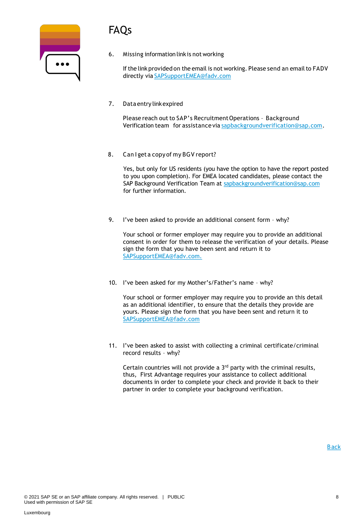# FAQs

| $\bullet\bullet\bullet$ |  |
|-------------------------|--|
|                         |  |

6. Missing information linkis not working

If the link provided on the email is not working. Please send an email to FADV directly via [SAPSupportEMEA@fadv.com](mailto:SAPSupportEMEA@fadv.com)

7. Data entry linkexpired

Please reach out to SAP's Recruitment Operations - Background Verification team for assistance via [sapbackgroundverification@sap.com.](mailto:sapbackgroundverification@sap.com)

8. Can I get a copy of my BGV report?

Yes, but only for US residents (you have the option to have the report posted to you upon completion). For EMEA located candidates, please contact the SAP Background Verification Team at [sapbackgroundverification@sap.com](mailto:sapbackgroundverification@sap.com) for further information.

9. I've been asked to provide an additional consent form – why?

Your school or former employer may require you to provide an additional consent in order for them to release the verification of your details. Please sign the form that you have been sent and return it to SAPSupportEMEA@fadv.com.

10. I've been asked for my Mother's/Father's name – why?

Your school or former employer may require you to provide an this detail as an additional identifier, to ensure that the details they provide are yours. Please sign the form that you have been sent and return it to [SAPSupportEMEA@fadv.com](mailto:SAPSupportEMEA@fadv.com)

11. I've been asked to assist with collecting a criminal certificate/criminal record results – why?

Certain countries will not provide a 3rd party with the criminal results, thus, First Advantage requires your assistance to collect additional documents in order to complete your check and provide it back to their partner in order to complete your background verification.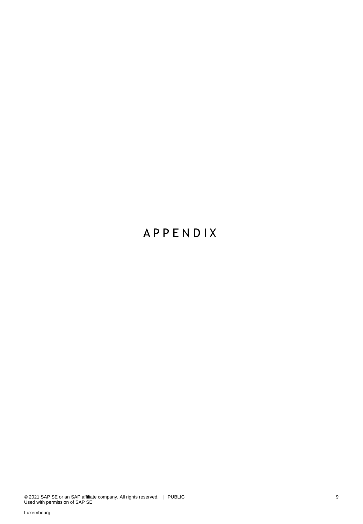# **A P P E N D I X**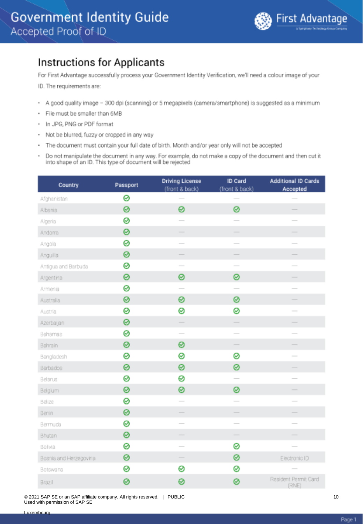### <span id="page-9-0"></span>**Instructions for Applicants**

For First Advantage successfully process your Government Identity Verification, we'll need a colour image of your

ID. The requirements are:

- A good quality image 300 dpi (scanning) or 5 megapixels (camera/smartphone) is suggested as a minimum
- File must be smaller than 6MB ٠
- In JPG, PNG or PDF format ٠
- Not be blurred, fuzzy or cropped in any way
- The document must contain your full date of birth. Month and/or year only will not be accepted
- Do not manipulate the document in any way. For example, do not make a copy of the document and then cut it<br>into shape of an ID. This type of document will be rejected

| Country                | Passport | <b>Driving License</b><br>(front & back) | <b>ID Card</b><br>(front & back) | <b>Additional ID Cards</b><br>Accepted |
|------------------------|----------|------------------------------------------|----------------------------------|----------------------------------------|
| Afghanistan            | 0        |                                          |                                  |                                        |
| Albania                | ⊗        | 0                                        | 0                                |                                        |
| Algeria                | ⊗        |                                          |                                  |                                        |
| Andoma                 | 0        | -                                        | -                                |                                        |
| Angola                 | ⊗        | $\overline{\phantom{0}}$                 | $\overline{\phantom{0}}$         | $\overline{\phantom{a}}$               |
| Anguilla               | ⊗        |                                          |                                  | -                                      |
| Antigua and Barbuda    | ⊗        | $\overline{\phantom{a}}$                 | $\sim$                           |                                        |
| Argentina              | 0        | 0                                        | 0                                | $\overline{\phantom{a}}$               |
| Armenia                | ⊗        |                                          |                                  |                                        |
| Australia              | 0        | 0                                        | 0                                |                                        |
| Austria                | ⊗        | 0                                        | 0                                | $\overline{\phantom{a}}$               |
| Azerbaijan             | 0        | $\frac{1}{2}$                            |                                  |                                        |
| Bahamas                | ⊗        | $\overline{\phantom{a}}$                 | $\overline{\phantom{a}}$         |                                        |
| Bahrain                | ⊗        | 0                                        |                                  |                                        |
| Bangladesh             | ⊗        | 0                                        | 0                                | $\sim$                                 |
| Barbados               | 0        | 0                                        | 0                                |                                        |
| Belarus                | ⊗        | 0                                        |                                  |                                        |
| Belgium                | ⊗        | 0                                        | 0                                | -                                      |
| Belize                 | 0        | $\frac{1}{2}$                            | $\frac{1}{2}$                    | $\overline{\phantom{a}}$               |
| Benin                  | 0        |                                          |                                  |                                        |
| Bermuda                | 0        | $\overline{\phantom{0}}$                 | $\frac{1}{2}$                    |                                        |
| Bhutan                 | ⊗        | $\overline{\phantom{a}}$                 | $\overline{\phantom{a}}$         |                                        |
| Bolivia                | ⊗        | $\overline{\phantom{a}}$                 | 0                                |                                        |
| Bosnia and Herzegovina | 0        |                                          | ⊗                                | Electronic ID                          |
| Botswana               | ⊗        | 0                                        | ⊗                                |                                        |
| Brazil                 | 0        | 0                                        | 0                                | Resident Permit Card<br><b>IRNEL</b>   |

© 2021 SAP SE or an SAP affiliate company. All rights reserved. | PUBLIC Used with permission of SAP SE

10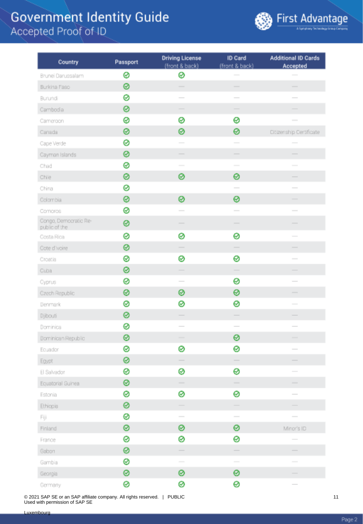

| Country                                | Passport | <b>Driving License</b><br>(front & back) | ID Card<br>(front & back)                                                                                                                                                                                                                                                                                                                                                                                                                                                  | <b>Additional ID Cards</b><br>Accepted                                                                                                                                                                                                                                                                                                                                                                                                                                     |
|----------------------------------------|----------|------------------------------------------|----------------------------------------------------------------------------------------------------------------------------------------------------------------------------------------------------------------------------------------------------------------------------------------------------------------------------------------------------------------------------------------------------------------------------------------------------------------------------|----------------------------------------------------------------------------------------------------------------------------------------------------------------------------------------------------------------------------------------------------------------------------------------------------------------------------------------------------------------------------------------------------------------------------------------------------------------------------|
| Brunei Darussalam                      | 0        | ⊗                                        |                                                                                                                                                                                                                                                                                                                                                                                                                                                                            |                                                                                                                                                                                                                                                                                                                                                                                                                                                                            |
| Burkina Faso                           | 0        |                                          | $\frac{1}{2} \left( \frac{1}{2} \right) \left( \frac{1}{2} \right) \left( \frac{1}{2} \right) \left( \frac{1}{2} \right) \left( \frac{1}{2} \right) \left( \frac{1}{2} \right) \left( \frac{1}{2} \right) \left( \frac{1}{2} \right) \left( \frac{1}{2} \right) \left( \frac{1}{2} \right) \left( \frac{1}{2} \right) \left( \frac{1}{2} \right) \left( \frac{1}{2} \right) \left( \frac{1}{2} \right) \left( \frac{1}{2} \right) \left( \frac{1}{2} \right) \left( \frac$ |                                                                                                                                                                                                                                                                                                                                                                                                                                                                            |
| Burundi                                | 0        |                                          |                                                                                                                                                                                                                                                                                                                                                                                                                                                                            |                                                                                                                                                                                                                                                                                                                                                                                                                                                                            |
| Cambodia                               | 0        | $\overline{\phantom{a}}$                 | -                                                                                                                                                                                                                                                                                                                                                                                                                                                                          |                                                                                                                                                                                                                                                                                                                                                                                                                                                                            |
| Cameroon                               | 0        | ⊗                                        | ⊗                                                                                                                                                                                                                                                                                                                                                                                                                                                                          | $\frac{1}{2}$                                                                                                                                                                                                                                                                                                                                                                                                                                                              |
| Canada                                 | 0        | 0                                        | 0                                                                                                                                                                                                                                                                                                                                                                                                                                                                          | Citizenship Certificate                                                                                                                                                                                                                                                                                                                                                                                                                                                    |
| Cape Verde                             | 0        |                                          | $\sim$                                                                                                                                                                                                                                                                                                                                                                                                                                                                     |                                                                                                                                                                                                                                                                                                                                                                                                                                                                            |
| Cayman Islands                         | 0        |                                          |                                                                                                                                                                                                                                                                                                                                                                                                                                                                            |                                                                                                                                                                                                                                                                                                                                                                                                                                                                            |
| Chad                                   | 0        |                                          | $\sim$                                                                                                                                                                                                                                                                                                                                                                                                                                                                     |                                                                                                                                                                                                                                                                                                                                                                                                                                                                            |
| Chile                                  | 0        | 0                                        | 0                                                                                                                                                                                                                                                                                                                                                                                                                                                                          |                                                                                                                                                                                                                                                                                                                                                                                                                                                                            |
| China                                  | 0        |                                          | $\frac{1}{2} \left( \frac{1}{2} \right) \left( \frac{1}{2} \right) \left( \frac{1}{2} \right) \left( \frac{1}{2} \right) \left( \frac{1}{2} \right) \left( \frac{1}{2} \right) \left( \frac{1}{2} \right) \left( \frac{1}{2} \right) \left( \frac{1}{2} \right) \left( \frac{1}{2} \right) \left( \frac{1}{2} \right) \left( \frac{1}{2} \right) \left( \frac{1}{2} \right) \left( \frac{1}{2} \right) \left( \frac{1}{2} \right) \left( \frac{1}{2} \right) \left( \frac$ | $\frac{1}{2} \left( \frac{1}{2} \right) \left( \frac{1}{2} \right) \left( \frac{1}{2} \right) \left( \frac{1}{2} \right) \left( \frac{1}{2} \right) \left( \frac{1}{2} \right) \left( \frac{1}{2} \right) \left( \frac{1}{2} \right) \left( \frac{1}{2} \right) \left( \frac{1}{2} \right) \left( \frac{1}{2} \right) \left( \frac{1}{2} \right) \left( \frac{1}{2} \right) \left( \frac{1}{2} \right) \left( \frac{1}{2} \right) \left( \frac{1}{2} \right) \left( \frac$ |
| Colombia                               | 0        | 0                                        | 0                                                                                                                                                                                                                                                                                                                                                                                                                                                                          |                                                                                                                                                                                                                                                                                                                                                                                                                                                                            |
| Comoros                                | 0        |                                          | $\sim$                                                                                                                                                                                                                                                                                                                                                                                                                                                                     |                                                                                                                                                                                                                                                                                                                                                                                                                                                                            |
| Congo, Democratic Re-<br>public of the | 0        |                                          |                                                                                                                                                                                                                                                                                                                                                                                                                                                                            |                                                                                                                                                                                                                                                                                                                                                                                                                                                                            |
| Costa Rica                             | ø        | 0                                        | 0                                                                                                                                                                                                                                                                                                                                                                                                                                                                          |                                                                                                                                                                                                                                                                                                                                                                                                                                                                            |
| Cote d'Ivoire                          | 0        |                                          |                                                                                                                                                                                                                                                                                                                                                                                                                                                                            |                                                                                                                                                                                                                                                                                                                                                                                                                                                                            |
| Croatia                                | 0        | ⊗                                        | 0                                                                                                                                                                                                                                                                                                                                                                                                                                                                          |                                                                                                                                                                                                                                                                                                                                                                                                                                                                            |
| Cuba                                   | 0        | -                                        |                                                                                                                                                                                                                                                                                                                                                                                                                                                                            |                                                                                                                                                                                                                                                                                                                                                                                                                                                                            |
| Cyprus                                 | 0        | $\sim$                                   | 0                                                                                                                                                                                                                                                                                                                                                                                                                                                                          |                                                                                                                                                                                                                                                                                                                                                                                                                                                                            |
| Czech Republic                         | ⊗        | ⊗                                        | ⊗                                                                                                                                                                                                                                                                                                                                                                                                                                                                          | $\overline{\phantom{a}}$                                                                                                                                                                                                                                                                                                                                                                                                                                                   |
| Denmark                                | ⊗        | ⊗                                        | 0                                                                                                                                                                                                                                                                                                                                                                                                                                                                          | $\overline{\phantom{a}}$                                                                                                                                                                                                                                                                                                                                                                                                                                                   |
| Djibouti                               | 0        |                                          |                                                                                                                                                                                                                                                                                                                                                                                                                                                                            |                                                                                                                                                                                                                                                                                                                                                                                                                                                                            |
| Dominica                               | ⊗        | $\sim$                                   | $\overline{\phantom{a}}$                                                                                                                                                                                                                                                                                                                                                                                                                                                   | $\overline{\phantom{a}}$                                                                                                                                                                                                                                                                                                                                                                                                                                                   |
| Dominican Republic                     | ⊗        |                                          | 0                                                                                                                                                                                                                                                                                                                                                                                                                                                                          | -                                                                                                                                                                                                                                                                                                                                                                                                                                                                          |
| Ecuador                                | 0        | ⊗                                        | 0                                                                                                                                                                                                                                                                                                                                                                                                                                                                          | $\sim$                                                                                                                                                                                                                                                                                                                                                                                                                                                                     |
| Egypt                                  | ⊗        |                                          |                                                                                                                                                                                                                                                                                                                                                                                                                                                                            |                                                                                                                                                                                                                                                                                                                                                                                                                                                                            |
| El Salvador                            | 0        | ⊗                                        | ๏                                                                                                                                                                                                                                                                                                                                                                                                                                                                          |                                                                                                                                                                                                                                                                                                                                                                                                                                                                            |
| Equatorial Guinea                      | ⊗        | $\overline{\phantom{a}}$                 | $\frac{1}{2} \left( \frac{1}{2} \right) \left( \frac{1}{2} \right) \left( \frac{1}{2} \right) \left( \frac{1}{2} \right) \left( \frac{1}{2} \right) \left( \frac{1}{2} \right) \left( \frac{1}{2} \right) \left( \frac{1}{2} \right) \left( \frac{1}{2} \right) \left( \frac{1}{2} \right) \left( \frac{1}{2} \right) \left( \frac{1}{2} \right) \left( \frac{1}{2} \right) \left( \frac{1}{2} \right) \left( \frac{1}{2} \right) \left( \frac{1}{2} \right) \left( \frac$ | $\overline{\phantom{a}}$                                                                                                                                                                                                                                                                                                                                                                                                                                                   |
| Estonia                                | ⊗        | ⊗                                        | 0                                                                                                                                                                                                                                                                                                                                                                                                                                                                          |                                                                                                                                                                                                                                                                                                                                                                                                                                                                            |
| Ethiopia                               | 0        | $\overline{\phantom{0}}$                 |                                                                                                                                                                                                                                                                                                                                                                                                                                                                            |                                                                                                                                                                                                                                                                                                                                                                                                                                                                            |
| Fiji                                   | 0        | $\overline{\phantom{a}}$                 | $\overline{\phantom{a}}$                                                                                                                                                                                                                                                                                                                                                                                                                                                   |                                                                                                                                                                                                                                                                                                                                                                                                                                                                            |
| Finland                                | ⊗        | ⊗                                        | 0                                                                                                                                                                                                                                                                                                                                                                                                                                                                          | Minor's ID                                                                                                                                                                                                                                                                                                                                                                                                                                                                 |
| France                                 | 0        | ⊗                                        | 0                                                                                                                                                                                                                                                                                                                                                                                                                                                                          |                                                                                                                                                                                                                                                                                                                                                                                                                                                                            |
| Gabon                                  | 0        |                                          |                                                                                                                                                                                                                                                                                                                                                                                                                                                                            |                                                                                                                                                                                                                                                                                                                                                                                                                                                                            |
| Gambia                                 | 0        | $\sim$                                   | $\sim$                                                                                                                                                                                                                                                                                                                                                                                                                                                                     | $\overline{\phantom{a}}$                                                                                                                                                                                                                                                                                                                                                                                                                                                   |
| Georgia                                | 0        | 0                                        | 0                                                                                                                                                                                                                                                                                                                                                                                                                                                                          |                                                                                                                                                                                                                                                                                                                                                                                                                                                                            |
| Germany                                | 0        | 0                                        | 0                                                                                                                                                                                                                                                                                                                                                                                                                                                                          |                                                                                                                                                                                                                                                                                                                                                                                                                                                                            |

© 2021 SAP SE or an SAP affiliate company. All rights reserved. | PUBLIC Used with permission of SAP SE

11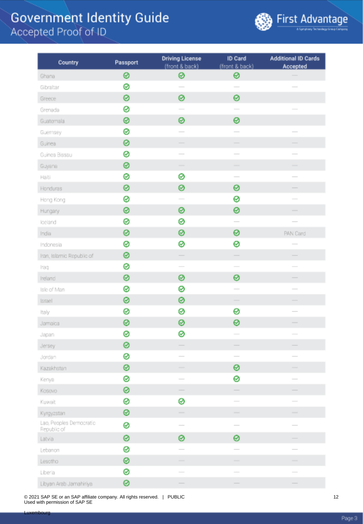

| Country                                | Passport | <b>Driving License</b>   | ID Card                                                                                                                                                                                                                                                                                                                                                                                                                                                                    | <b>Additional ID Cards</b> |
|----------------------------------------|----------|--------------------------|----------------------------------------------------------------------------------------------------------------------------------------------------------------------------------------------------------------------------------------------------------------------------------------------------------------------------------------------------------------------------------------------------------------------------------------------------------------------------|----------------------------|
|                                        |          | (front & back)           | (front & back)                                                                                                                                                                                                                                                                                                                                                                                                                                                             | Accepted                   |
| Ghana                                  | ⊗        | ⊗                        | ⊗                                                                                                                                                                                                                                                                                                                                                                                                                                                                          |                            |
| Gibraltar                              | ⊗        | $\sim$                   | $\sim$                                                                                                                                                                                                                                                                                                                                                                                                                                                                     |                            |
| Greece                                 | ๏        | 0                        | 0                                                                                                                                                                                                                                                                                                                                                                                                                                                                          |                            |
| Grenada                                | 0        |                          |                                                                                                                                                                                                                                                                                                                                                                                                                                                                            |                            |
| Guatemala                              | ⊗        | ⊗                        | 0                                                                                                                                                                                                                                                                                                                                                                                                                                                                          |                            |
| Guernsey                               | 0        | $\sim$                   | $\overline{\phantom{a}}$                                                                                                                                                                                                                                                                                                                                                                                                                                                   | $\sim$                     |
| Guinea                                 | ๏        | $\overline{\phantom{a}}$ |                                                                                                                                                                                                                                                                                                                                                                                                                                                                            |                            |
| Guinea Bissau                          | ⊗        |                          | $\frac{1}{2} \left( \frac{1}{2} \right) \left( \frac{1}{2} \right) \left( \frac{1}{2} \right) \left( \frac{1}{2} \right) \left( \frac{1}{2} \right) \left( \frac{1}{2} \right) \left( \frac{1}{2} \right) \left( \frac{1}{2} \right) \left( \frac{1}{2} \right) \left( \frac{1}{2} \right) \left( \frac{1}{2} \right) \left( \frac{1}{2} \right) \left( \frac{1}{2} \right) \left( \frac{1}{2} \right) \left( \frac{1}{2} \right) \left( \frac{1}{2} \right) \left( \frac$ |                            |
| Guyana                                 | ⊗        | -                        | -                                                                                                                                                                                                                                                                                                                                                                                                                                                                          |                            |
| Halti                                  | ø        | ⊗                        | $\overline{\phantom{a}}$                                                                                                                                                                                                                                                                                                                                                                                                                                                   |                            |
| Honduras                               | ๏        | ⊗                        | 0                                                                                                                                                                                                                                                                                                                                                                                                                                                                          |                            |
| Hong Kong                              | ⊗        |                          | ⊗                                                                                                                                                                                                                                                                                                                                                                                                                                                                          |                            |
| Hungary                                | 0        | ⊗                        | 0                                                                                                                                                                                                                                                                                                                                                                                                                                                                          |                            |
| loeland                                | ø        | ⊗                        | $\frac{1}{2}$                                                                                                                                                                                                                                                                                                                                                                                                                                                              |                            |
| India                                  | ⊗        | ⊗                        | 0                                                                                                                                                                                                                                                                                                                                                                                                                                                                          | PAN Card                   |
| Indonesia                              | ⊗        | ⊗                        | 0                                                                                                                                                                                                                                                                                                                                                                                                                                                                          |                            |
| Iran, Islamic Republic of              | ◎        |                          |                                                                                                                                                                                                                                                                                                                                                                                                                                                                            |                            |
| Iraq                                   | 0        |                          |                                                                                                                                                                                                                                                                                                                                                                                                                                                                            |                            |
| Ireland                                | 0        | ⊗                        | 0                                                                                                                                                                                                                                                                                                                                                                                                                                                                          |                            |
| Isle of Man                            | ⊗        | ⊗                        |                                                                                                                                                                                                                                                                                                                                                                                                                                                                            | $\sim$                     |
| Israel                                 | ◎        | ⊗                        | $\overline{\phantom{a}}$                                                                                                                                                                                                                                                                                                                                                                                                                                                   | -                          |
| Italy                                  | ⊗        | ⊗                        | 0                                                                                                                                                                                                                                                                                                                                                                                                                                                                          |                            |
| Jamaica                                | 0        | ⊗                        | 0                                                                                                                                                                                                                                                                                                                                                                                                                                                                          |                            |
| Japan                                  | 0        | ⊗                        |                                                                                                                                                                                                                                                                                                                                                                                                                                                                            |                            |
| Jersey                                 | ø        |                          |                                                                                                                                                                                                                                                                                                                                                                                                                                                                            |                            |
| Jordan                                 | 0        |                          | $\overline{\phantom{a}}$                                                                                                                                                                                                                                                                                                                                                                                                                                                   |                            |
| Kazakhstan                             | 0        | $\overline{\phantom{a}}$ | 0                                                                                                                                                                                                                                                                                                                                                                                                                                                                          |                            |
| Kenya                                  | 0        | $\sim$                   | 0                                                                                                                                                                                                                                                                                                                                                                                                                                                                          |                            |
| Kosovo                                 | ⊗        |                          |                                                                                                                                                                                                                                                                                                                                                                                                                                                                            |                            |
| Kuwait                                 | 0        | ⊗                        |                                                                                                                                                                                                                                                                                                                                                                                                                                                                            | $\overline{\phantom{a}}$   |
| Kyrgyzstan                             | ⊗        | $\sim$                   | $\sim$                                                                                                                                                                                                                                                                                                                                                                                                                                                                     | $\frac{1}{2}$              |
| Lao, Peoples Democratic<br>Republic of | 0        | $\sim$                   | $\sim$                                                                                                                                                                                                                                                                                                                                                                                                                                                                     | $\overline{\phantom{a}}$   |
| Latvia                                 | ⊗        | 0                        | 0                                                                                                                                                                                                                                                                                                                                                                                                                                                                          |                            |
| Lebanon                                | 0        |                          | $\frac{1}{2} \left( \frac{1}{2} \right) \left( \frac{1}{2} \right) \left( \frac{1}{2} \right) \left( \frac{1}{2} \right) \left( \frac{1}{2} \right) \left( \frac{1}{2} \right) \left( \frac{1}{2} \right) \left( \frac{1}{2} \right) \left( \frac{1}{2} \right) \left( \frac{1}{2} \right) \left( \frac{1}{2} \right) \left( \frac{1}{2} \right) \left( \frac{1}{2} \right) \left( \frac{1}{2} \right) \left( \frac{1}{2} \right) \left( \frac{1}{2} \right) \left( \frac$ | $\sim$                     |
| Lesotho                                | 0        | $\overline{\phantom{a}}$ | -                                                                                                                                                                                                                                                                                                                                                                                                                                                                          | ۰                          |
| Liberia                                | ⊗        |                          |                                                                                                                                                                                                                                                                                                                                                                                                                                                                            |                            |
| Libyan Arab Jamahiriya                 | ⊗        |                          |                                                                                                                                                                                                                                                                                                                                                                                                                                                                            |                            |

© 2021 SAP SE or an SAP affiliate company. All rights reserved. | PUBLIC Used with permission of SAP SE

12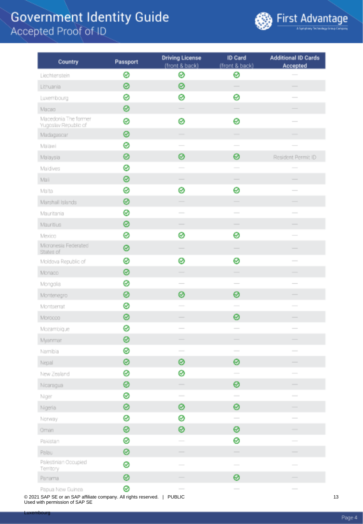

| Country                                      | Passport | <b>Driving License</b><br>(front & back) | ID Card<br>(front & back) | <b>Additional ID Cards</b><br>Accepted                                                                                                                                                                                                                                                                                                                                                                                                                                     |
|----------------------------------------------|----------|------------------------------------------|---------------------------|----------------------------------------------------------------------------------------------------------------------------------------------------------------------------------------------------------------------------------------------------------------------------------------------------------------------------------------------------------------------------------------------------------------------------------------------------------------------------|
| Liechtenstein                                | ⊗        | ⊗                                        | ⊗                         |                                                                                                                                                                                                                                                                                                                                                                                                                                                                            |
| Lithuania                                    | 0        | 0                                        |                           | -                                                                                                                                                                                                                                                                                                                                                                                                                                                                          |
| Luxembourg                                   | ø        | 0                                        | 0                         |                                                                                                                                                                                                                                                                                                                                                                                                                                                                            |
| Macao                                        | 0        |                                          |                           |                                                                                                                                                                                                                                                                                                                                                                                                                                                                            |
| Macedonia The former<br>Yugoslav Republic of | 0        | 0                                        | 0                         |                                                                                                                                                                                                                                                                                                                                                                                                                                                                            |
| Madagascar                                   | 0        |                                          |                           |                                                                                                                                                                                                                                                                                                                                                                                                                                                                            |
| Malawi                                       | ø        |                                          |                           |                                                                                                                                                                                                                                                                                                                                                                                                                                                                            |
| Malaysia                                     | 0        | 0                                        | 0                         | Resident Permit ID                                                                                                                                                                                                                                                                                                                                                                                                                                                         |
| Maldives                                     | 0        |                                          |                           |                                                                                                                                                                                                                                                                                                                                                                                                                                                                            |
| Mali                                         | 0        |                                          |                           |                                                                                                                                                                                                                                                                                                                                                                                                                                                                            |
| Malta                                        | ø        | 0                                        | 0                         | $\frac{1}{2} \left( \frac{1}{2} \right) \left( \frac{1}{2} \right) \left( \frac{1}{2} \right) \left( \frac{1}{2} \right) \left( \frac{1}{2} \right) \left( \frac{1}{2} \right) \left( \frac{1}{2} \right) \left( \frac{1}{2} \right) \left( \frac{1}{2} \right) \left( \frac{1}{2} \right) \left( \frac{1}{2} \right) \left( \frac{1}{2} \right) \left( \frac{1}{2} \right) \left( \frac{1}{2} \right) \left( \frac{1}{2} \right) \left( \frac{1}{2} \right) \left( \frac$ |
| Marshall Islands                             | 0        |                                          |                           |                                                                                                                                                                                                                                                                                                                                                                                                                                                                            |
| Mauritania                                   | 0        |                                          |                           |                                                                                                                                                                                                                                                                                                                                                                                                                                                                            |
| Mauritius                                    | 0        |                                          | $\overline{\phantom{a}}$  |                                                                                                                                                                                                                                                                                                                                                                                                                                                                            |
| Mexico                                       | ø        | ⊗                                        | 0                         |                                                                                                                                                                                                                                                                                                                                                                                                                                                                            |
| Micronesia Federated<br>States of            | 0        |                                          |                           |                                                                                                                                                                                                                                                                                                                                                                                                                                                                            |
| Moldova Republic of                          | 0        | ⊗                                        | ⊗                         | $\sim$                                                                                                                                                                                                                                                                                                                                                                                                                                                                     |
| Monaco                                       | 0        |                                          |                           |                                                                                                                                                                                                                                                                                                                                                                                                                                                                            |
| Mongolia                                     | ø        |                                          |                           |                                                                                                                                                                                                                                                                                                                                                                                                                                                                            |
| Montenegro                                   | 0        | ⊗                                        | 0                         |                                                                                                                                                                                                                                                                                                                                                                                                                                                                            |
| Montserrat                                   | ⊗        |                                          |                           |                                                                                                                                                                                                                                                                                                                                                                                                                                                                            |
| Morocco                                      | 0        |                                          | 0                         |                                                                                                                                                                                                                                                                                                                                                                                                                                                                            |
| Mozambique                                   | ⊗        |                                          | $\sim$                    | $\sim$                                                                                                                                                                                                                                                                                                                                                                                                                                                                     |
| Myanmar                                      | 0        |                                          |                           |                                                                                                                                                                                                                                                                                                                                                                                                                                                                            |
| Namibia                                      | ⊗        |                                          |                           |                                                                                                                                                                                                                                                                                                                                                                                                                                                                            |
| Nepal                                        | 0        | 0                                        | 0                         |                                                                                                                                                                                                                                                                                                                                                                                                                                                                            |
| New Zealand                                  | 0        | ⊗                                        | $\overline{\phantom{a}}$  |                                                                                                                                                                                                                                                                                                                                                                                                                                                                            |
| Nicaragua                                    | ⊗        | $\overline{\phantom{a}}$                 | ⊗                         |                                                                                                                                                                                                                                                                                                                                                                                                                                                                            |
| Niger                                        | 0        | $\sim$                                   | $\sim$                    | $\sim$                                                                                                                                                                                                                                                                                                                                                                                                                                                                     |
| Nigeria                                      | 0        | ⊗                                        | 0                         |                                                                                                                                                                                                                                                                                                                                                                                                                                                                            |
| Norway                                       | 0        | ⊗                                        |                           | $\frac{1}{2}$                                                                                                                                                                                                                                                                                                                                                                                                                                                              |
| Oman                                         | ⊗        | ⊗                                        | ⊗                         | $\overline{\phantom{a}}$                                                                                                                                                                                                                                                                                                                                                                                                                                                   |
| Pakistan                                     | ⊗        |                                          | 0                         |                                                                                                                                                                                                                                                                                                                                                                                                                                                                            |
| Palau                                        | 0        |                                          |                           |                                                                                                                                                                                                                                                                                                                                                                                                                                                                            |
| Palestinian Occupied<br><b>Territory</b>     | 0        |                                          |                           |                                                                                                                                                                                                                                                                                                                                                                                                                                                                            |
| Panama                                       | ⊗        |                                          | ⊗                         |                                                                                                                                                                                                                                                                                                                                                                                                                                                                            |
| Panua New Buinea                             | 0        |                                          |                           |                                                                                                                                                                                                                                                                                                                                                                                                                                                                            |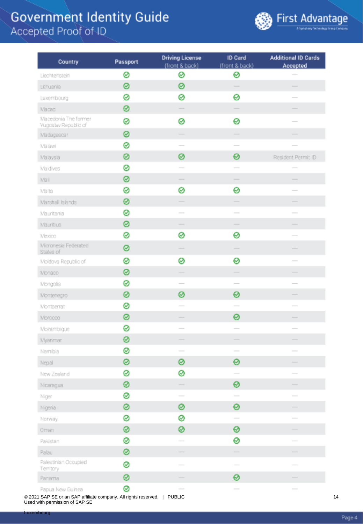

| Country                                      | Passport | <b>Driving License</b><br>(front & back) | ID Card<br>(front & back) | <b>Additional ID Cards</b><br>Accepted                                                                                                                                                                                                                                                                                                                                                                                                                                     |
|----------------------------------------------|----------|------------------------------------------|---------------------------|----------------------------------------------------------------------------------------------------------------------------------------------------------------------------------------------------------------------------------------------------------------------------------------------------------------------------------------------------------------------------------------------------------------------------------------------------------------------------|
| Liechtenstein                                | ⊗        | ⊗                                        | ⊗                         |                                                                                                                                                                                                                                                                                                                                                                                                                                                                            |
| Lithuania                                    | 0        | 0                                        |                           | -                                                                                                                                                                                                                                                                                                                                                                                                                                                                          |
| Luxembourg                                   | ø        | 0                                        | 0                         |                                                                                                                                                                                                                                                                                                                                                                                                                                                                            |
| Macao                                        | 0        |                                          |                           |                                                                                                                                                                                                                                                                                                                                                                                                                                                                            |
| Macedonia The former<br>Yugoslav Republic of | 0        | 0                                        | 0                         |                                                                                                                                                                                                                                                                                                                                                                                                                                                                            |
| Madagascar                                   | 0        |                                          |                           |                                                                                                                                                                                                                                                                                                                                                                                                                                                                            |
| Malawi                                       | ø        |                                          |                           |                                                                                                                                                                                                                                                                                                                                                                                                                                                                            |
| Malaysia                                     | 0        | 0                                        | 0                         | Resident Permit ID                                                                                                                                                                                                                                                                                                                                                                                                                                                         |
| Maldives                                     | 0        |                                          |                           |                                                                                                                                                                                                                                                                                                                                                                                                                                                                            |
| Mali                                         | 0        |                                          |                           |                                                                                                                                                                                                                                                                                                                                                                                                                                                                            |
| Malta                                        | ø        | 0                                        | 0                         | $\frac{1}{2} \left( \frac{1}{2} \right) \left( \frac{1}{2} \right) \left( \frac{1}{2} \right) \left( \frac{1}{2} \right) \left( \frac{1}{2} \right) \left( \frac{1}{2} \right) \left( \frac{1}{2} \right) \left( \frac{1}{2} \right) \left( \frac{1}{2} \right) \left( \frac{1}{2} \right) \left( \frac{1}{2} \right) \left( \frac{1}{2} \right) \left( \frac{1}{2} \right) \left( \frac{1}{2} \right) \left( \frac{1}{2} \right) \left( \frac{1}{2} \right) \left( \frac$ |
| Marshall Islands                             | 0        |                                          |                           |                                                                                                                                                                                                                                                                                                                                                                                                                                                                            |
| Mauritania                                   | 0        |                                          |                           |                                                                                                                                                                                                                                                                                                                                                                                                                                                                            |
| Mauritius                                    | 0        |                                          | $\overline{\phantom{a}}$  |                                                                                                                                                                                                                                                                                                                                                                                                                                                                            |
| Mexico                                       | ø        | ⊗                                        | 0                         |                                                                                                                                                                                                                                                                                                                                                                                                                                                                            |
| Micronesia Federated<br>States of            | 0        |                                          |                           |                                                                                                                                                                                                                                                                                                                                                                                                                                                                            |
| Moldova Republic of                          | 0        | ⊗                                        | ⊗                         | $\sim$                                                                                                                                                                                                                                                                                                                                                                                                                                                                     |
| Monaco                                       | 0        |                                          |                           |                                                                                                                                                                                                                                                                                                                                                                                                                                                                            |
| Mongolia                                     | ø        |                                          |                           |                                                                                                                                                                                                                                                                                                                                                                                                                                                                            |
| Montenegro                                   | 0        | ⊗                                        | 0                         |                                                                                                                                                                                                                                                                                                                                                                                                                                                                            |
| Montserrat                                   | ⊗        |                                          |                           |                                                                                                                                                                                                                                                                                                                                                                                                                                                                            |
| Morocco                                      | 0        |                                          | 0                         |                                                                                                                                                                                                                                                                                                                                                                                                                                                                            |
| Mozambique                                   | ⊗        |                                          | $\sim$                    | $\sim$                                                                                                                                                                                                                                                                                                                                                                                                                                                                     |
| Myanmar                                      | 0        |                                          |                           |                                                                                                                                                                                                                                                                                                                                                                                                                                                                            |
| Namibia                                      | ⊗        |                                          |                           |                                                                                                                                                                                                                                                                                                                                                                                                                                                                            |
| Nepal                                        | 0        | 0                                        | 0                         |                                                                                                                                                                                                                                                                                                                                                                                                                                                                            |
| New Zealand                                  | 0        | ⊗                                        | $\overline{\phantom{a}}$  |                                                                                                                                                                                                                                                                                                                                                                                                                                                                            |
| Nicaragua                                    | ⊗        | $\overline{\phantom{a}}$                 | ⊗                         |                                                                                                                                                                                                                                                                                                                                                                                                                                                                            |
| Niger                                        | 0        | $\sim$                                   | $\sim$                    | $\sim$                                                                                                                                                                                                                                                                                                                                                                                                                                                                     |
| Nigeria                                      | 0        | ⊗                                        | 0                         |                                                                                                                                                                                                                                                                                                                                                                                                                                                                            |
| Norway                                       | 0        | ⊗                                        |                           | $\frac{1}{2}$                                                                                                                                                                                                                                                                                                                                                                                                                                                              |
| Oman                                         | ⊗        | ⊗                                        | ⊗                         | $\overline{\phantom{a}}$                                                                                                                                                                                                                                                                                                                                                                                                                                                   |
| Pakistan                                     | ⊗        |                                          | 0                         |                                                                                                                                                                                                                                                                                                                                                                                                                                                                            |
| Palau                                        | 0        |                                          |                           |                                                                                                                                                                                                                                                                                                                                                                                                                                                                            |
| Palestinian Occupied<br><b>Territory</b>     | 0        |                                          |                           |                                                                                                                                                                                                                                                                                                                                                                                                                                                                            |
| Panama                                       | ⊗        |                                          | ⊗                         |                                                                                                                                                                                                                                                                                                                                                                                                                                                                            |
| Panua New Buinea                             | 0        |                                          |                           |                                                                                                                                                                                                                                                                                                                                                                                                                                                                            |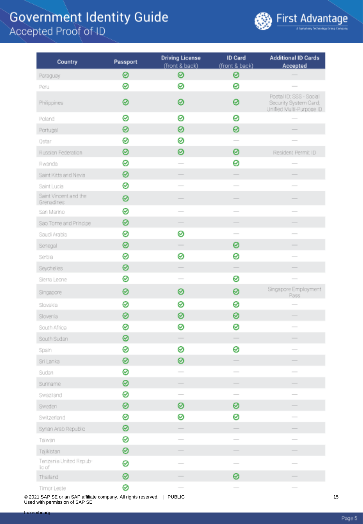

| Country                             | Passport | <b>Driving License</b><br>(front & back) | ID Card<br>(front & back)                                                                                                                                                                                                                                                                                                                                                                                                                                                  | <b>Additional ID Cards</b><br>Accepted                                       |
|-------------------------------------|----------|------------------------------------------|----------------------------------------------------------------------------------------------------------------------------------------------------------------------------------------------------------------------------------------------------------------------------------------------------------------------------------------------------------------------------------------------------------------------------------------------------------------------------|------------------------------------------------------------------------------|
| Paraguay                            | 0        | ⊗                                        | ⊗                                                                                                                                                                                                                                                                                                                                                                                                                                                                          |                                                                              |
| Peru                                | ⊗        | ⊗                                        | 0                                                                                                                                                                                                                                                                                                                                                                                                                                                                          |                                                                              |
| Philippines                         | 0        | ⊗                                        | 0                                                                                                                                                                                                                                                                                                                                                                                                                                                                          | Postal ID; SSS - Social<br>Security System Card;<br>Unified Multi-Purpose ID |
| Poland                              | 0        | ⊗                                        | 0                                                                                                                                                                                                                                                                                                                                                                                                                                                                          |                                                                              |
| Portugal                            | 0        | 0                                        | 0                                                                                                                                                                                                                                                                                                                                                                                                                                                                          |                                                                              |
| Qatar                               | 0        | ⊗                                        | $\frac{1}{2} \left( \frac{1}{2} \right) \left( \frac{1}{2} \right) \left( \frac{1}{2} \right) \left( \frac{1}{2} \right) \left( \frac{1}{2} \right) \left( \frac{1}{2} \right) \left( \frac{1}{2} \right) \left( \frac{1}{2} \right) \left( \frac{1}{2} \right) \left( \frac{1}{2} \right) \left( \frac{1}{2} \right) \left( \frac{1}{2} \right) \left( \frac{1}{2} \right) \left( \frac{1}{2} \right) \left( \frac{1}{2} \right) \left( \frac{1}{2} \right) \left( \frac$ |                                                                              |
| Russian Federation                  | 0        | 0                                        | 0                                                                                                                                                                                                                                                                                                                                                                                                                                                                          | Resident Permit ID                                                           |
| Rwanda                              | ø        |                                          | 0                                                                                                                                                                                                                                                                                                                                                                                                                                                                          |                                                                              |
| Saint Kitts and Nevis               | 0        |                                          |                                                                                                                                                                                                                                                                                                                                                                                                                                                                            |                                                                              |
| Saint Lucia                         | 0        |                                          |                                                                                                                                                                                                                                                                                                                                                                                                                                                                            |                                                                              |
| Saint Vincent and the<br>Grenadines | 0        |                                          |                                                                                                                                                                                                                                                                                                                                                                                                                                                                            |                                                                              |
| San Marino                          | 0        |                                          |                                                                                                                                                                                                                                                                                                                                                                                                                                                                            |                                                                              |
| Sao Tome and Principe               | 0        |                                          |                                                                                                                                                                                                                                                                                                                                                                                                                                                                            |                                                                              |
| Saudi Arabia                        | 0        | ⊗                                        | $\overline{\phantom{a}}$                                                                                                                                                                                                                                                                                                                                                                                                                                                   |                                                                              |
| Senegal                             | 0        |                                          | 0                                                                                                                                                                                                                                                                                                                                                                                                                                                                          |                                                                              |
| Serbia                              | 0        | ⊗                                        | 0                                                                                                                                                                                                                                                                                                                                                                                                                                                                          |                                                                              |
| Seychelles                          | 0        | $\overline{\phantom{a}}$                 |                                                                                                                                                                                                                                                                                                                                                                                                                                                                            |                                                                              |
| Sierra Leone                        | 0        | $\sim$                                   | ⊗                                                                                                                                                                                                                                                                                                                                                                                                                                                                          |                                                                              |
| Singapore                           | 0        | ⊗                                        | 0                                                                                                                                                                                                                                                                                                                                                                                                                                                                          | Singapore Employment<br>Pass                                                 |
| Slovakia                            | 0        | ⊗                                        | 0                                                                                                                                                                                                                                                                                                                                                                                                                                                                          |                                                                              |
| Slovenia                            | 0        | ⊗                                        | 0                                                                                                                                                                                                                                                                                                                                                                                                                                                                          |                                                                              |
| South Africa                        | 0        | ⊗                                        | 0                                                                                                                                                                                                                                                                                                                                                                                                                                                                          | $\frac{1}{2}$                                                                |
| South Sudan                         | ◎        |                                          |                                                                                                                                                                                                                                                                                                                                                                                                                                                                            |                                                                              |
| Spain                               | 0        | ⊗                                        | 0                                                                                                                                                                                                                                                                                                                                                                                                                                                                          |                                                                              |
| Sri Lanka                           | ⊗        | ⊗                                        |                                                                                                                                                                                                                                                                                                                                                                                                                                                                            |                                                                              |
| Sudan                               | ⊗        | $\sim$                                   | $\frac{1}{2}$                                                                                                                                                                                                                                                                                                                                                                                                                                                              |                                                                              |
| Suriname                            | ⊗        | $\frac{1}{2}$                            | $\frac{1}{2}$                                                                                                                                                                                                                                                                                                                                                                                                                                                              |                                                                              |
| Swaziand                            | ⊗        |                                          | $\frac{1}{2} \left( \frac{1}{2} \right) \left( \frac{1}{2} \right) \left( \frac{1}{2} \right) \left( \frac{1}{2} \right) \left( \frac{1}{2} \right) \left( \frac{1}{2} \right) \left( \frac{1}{2} \right) \left( \frac{1}{2} \right) \left( \frac{1}{2} \right) \left( \frac{1}{2} \right) \left( \frac{1}{2} \right) \left( \frac{1}{2} \right) \left( \frac{1}{2} \right) \left( \frac{1}{2} \right) \left( \frac{1}{2} \right) \left( \frac{1}{2} \right) \left( \frac$ | $\sim$                                                                       |
| Sweden                              | ⊗        | ⊗                                        | 0                                                                                                                                                                                                                                                                                                                                                                                                                                                                          |                                                                              |
| Switzerland                         | ⊗        | ⊗                                        | 0                                                                                                                                                                                                                                                                                                                                                                                                                                                                          |                                                                              |
| Syrian Arab Republic                | ⊗        |                                          |                                                                                                                                                                                                                                                                                                                                                                                                                                                                            |                                                                              |
| Taiwan                              | ⊗        |                                          | $\frac{1}{2} \left( \frac{1}{2} \right) \left( \frac{1}{2} \right) \left( \frac{1}{2} \right) \left( \frac{1}{2} \right) \left( \frac{1}{2} \right) \left( \frac{1}{2} \right) \left( \frac{1}{2} \right) \left( \frac{1}{2} \right) \left( \frac{1}{2} \right) \left( \frac{1}{2} \right) \left( \frac{1}{2} \right) \left( \frac{1}{2} \right) \left( \frac{1}{2} \right) \left( \frac{1}{2} \right) \left( \frac{1}{2} \right) \left( \frac{1}{2} \right) \left( \frac$ |                                                                              |
| Tajikistan                          | ⊗        |                                          |                                                                                                                                                                                                                                                                                                                                                                                                                                                                            |                                                                              |
| Tanzania United Repub-<br>ic of     | 0        |                                          | $\qquad \qquad$                                                                                                                                                                                                                                                                                                                                                                                                                                                            |                                                                              |
| Thailand                            | 0        |                                          | 0                                                                                                                                                                                                                                                                                                                                                                                                                                                                          |                                                                              |
| Timor Leste                         | ⊗        |                                          |                                                                                                                                                                                                                                                                                                                                                                                                                                                                            |                                                                              |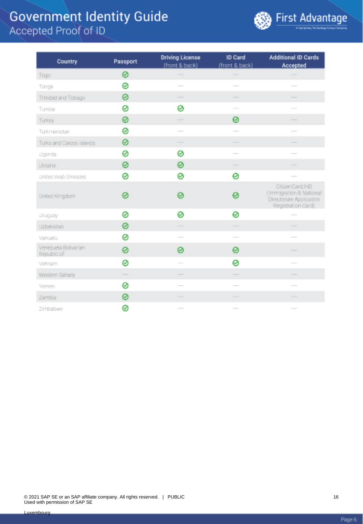

| Country                             | Passport                 | <b>Driving License</b><br>(front & back)                                                                                                                                                                                                                                                                                                                                                                                                                                   | ID Card<br>(front & back)                                                                                                                                                                                                                                                                                                                                                                                                                                                  | <b>Additional ID Cards</b><br>Accepted                                                                                                                                                                                                                                                                                                                                                                                                                                     |
|-------------------------------------|--------------------------|----------------------------------------------------------------------------------------------------------------------------------------------------------------------------------------------------------------------------------------------------------------------------------------------------------------------------------------------------------------------------------------------------------------------------------------------------------------------------|----------------------------------------------------------------------------------------------------------------------------------------------------------------------------------------------------------------------------------------------------------------------------------------------------------------------------------------------------------------------------------------------------------------------------------------------------------------------------|----------------------------------------------------------------------------------------------------------------------------------------------------------------------------------------------------------------------------------------------------------------------------------------------------------------------------------------------------------------------------------------------------------------------------------------------------------------------------|
| Togo                                | 0                        |                                                                                                                                                                                                                                                                                                                                                                                                                                                                            |                                                                                                                                                                                                                                                                                                                                                                                                                                                                            |                                                                                                                                                                                                                                                                                                                                                                                                                                                                            |
| Tonga                               | 0                        |                                                                                                                                                                                                                                                                                                                                                                                                                                                                            | $\sim$                                                                                                                                                                                                                                                                                                                                                                                                                                                                     | $\frac{1}{2}$                                                                                                                                                                                                                                                                                                                                                                                                                                                              |
| Trinidad and Tobago                 | 0                        |                                                                                                                                                                                                                                                                                                                                                                                                                                                                            | $\frac{1}{2} \left( \frac{1}{2} \right) \left( \frac{1}{2} \right) \left( \frac{1}{2} \right) \left( \frac{1}{2} \right) \left( \frac{1}{2} \right) \left( \frac{1}{2} \right) \left( \frac{1}{2} \right) \left( \frac{1}{2} \right) \left( \frac{1}{2} \right) \left( \frac{1}{2} \right) \left( \frac{1}{2} \right) \left( \frac{1}{2} \right) \left( \frac{1}{2} \right) \left( \frac{1}{2} \right) \left( \frac{1}{2} \right) \left( \frac{1}{2} \right) \left( \frac$ | $\overline{\phantom{a}}$                                                                                                                                                                                                                                                                                                                                                                                                                                                   |
| Tunisia                             | 0                        | ø                                                                                                                                                                                                                                                                                                                                                                                                                                                                          |                                                                                                                                                                                                                                                                                                                                                                                                                                                                            |                                                                                                                                                                                                                                                                                                                                                                                                                                                                            |
| Turkey                              | 0                        | $\frac{1}{2} \left( \frac{1}{2} \right) \left( \frac{1}{2} \right) \left( \frac{1}{2} \right) \left( \frac{1}{2} \right) \left( \frac{1}{2} \right) \left( \frac{1}{2} \right) \left( \frac{1}{2} \right) \left( \frac{1}{2} \right) \left( \frac{1}{2} \right) \left( \frac{1}{2} \right) \left( \frac{1}{2} \right) \left( \frac{1}{2} \right) \left( \frac{1}{2} \right) \left( \frac{1}{2} \right) \left( \frac{1}{2} \right) \left( \frac{1}{2} \right) \left( \frac$ | ⊗                                                                                                                                                                                                                                                                                                                                                                                                                                                                          | $\frac{1}{2}$                                                                                                                                                                                                                                                                                                                                                                                                                                                              |
| Turkmenistan                        | 0                        | $\frac{1}{2} \left( \frac{1}{2} \right) \left( \frac{1}{2} \right) \left( \frac{1}{2} \right) \left( \frac{1}{2} \right) \left( \frac{1}{2} \right) \left( \frac{1}{2} \right) \left( \frac{1}{2} \right) \left( \frac{1}{2} \right) \left( \frac{1}{2} \right) \left( \frac{1}{2} \right) \left( \frac{1}{2} \right) \left( \frac{1}{2} \right) \left( \frac{1}{2} \right) \left( \frac{1}{2} \right) \left( \frac{1}{2} \right) \left( \frac{1}{2} \right) \left( \frac$ | $\frac{1}{2} \left( \frac{1}{2} \right) \left( \frac{1}{2} \right) \left( \frac{1}{2} \right) \left( \frac{1}{2} \right) \left( \frac{1}{2} \right) \left( \frac{1}{2} \right) \left( \frac{1}{2} \right) \left( \frac{1}{2} \right) \left( \frac{1}{2} \right) \left( \frac{1}{2} \right) \left( \frac{1}{2} \right) \left( \frac{1}{2} \right) \left( \frac{1}{2} \right) \left( \frac{1}{2} \right) \left( \frac{1}{2} \right) \left( \frac{1}{2} \right) \left( \frac$ | $\overline{\phantom{a}}$                                                                                                                                                                                                                                                                                                                                                                                                                                                   |
| Turks and Caicos Islands            | 0                        |                                                                                                                                                                                                                                                                                                                                                                                                                                                                            |                                                                                                                                                                                                                                                                                                                                                                                                                                                                            |                                                                                                                                                                                                                                                                                                                                                                                                                                                                            |
| Uganda                              | 0                        | ⊗                                                                                                                                                                                                                                                                                                                                                                                                                                                                          | $\overline{\phantom{a}}$                                                                                                                                                                                                                                                                                                                                                                                                                                                   | $\overline{\phantom{a}}$                                                                                                                                                                                                                                                                                                                                                                                                                                                   |
| Likraine                            | 0                        | 0                                                                                                                                                                                                                                                                                                                                                                                                                                                                          | $\frac{1}{2}$                                                                                                                                                                                                                                                                                                                                                                                                                                                              | -                                                                                                                                                                                                                                                                                                                                                                                                                                                                          |
| <b>United Arab Emirates</b>         | 0                        | 0                                                                                                                                                                                                                                                                                                                                                                                                                                                                          | 0                                                                                                                                                                                                                                                                                                                                                                                                                                                                          |                                                                                                                                                                                                                                                                                                                                                                                                                                                                            |
| United Kingdom                      | ⊗                        | ൫                                                                                                                                                                                                                                                                                                                                                                                                                                                                          | 0                                                                                                                                                                                                                                                                                                                                                                                                                                                                          | CitizenCard; IND<br>(Immigration & National<br>Directorate Application<br>Registration Card)                                                                                                                                                                                                                                                                                                                                                                               |
| <b>Linuguay</b>                     | 0                        | 0                                                                                                                                                                                                                                                                                                                                                                                                                                                                          | 0                                                                                                                                                                                                                                                                                                                                                                                                                                                                          | $\frac{1}{2} \left( \frac{1}{2} \right) \left( \frac{1}{2} \right) \left( \frac{1}{2} \right) \left( \frac{1}{2} \right) \left( \frac{1}{2} \right) \left( \frac{1}{2} \right) \left( \frac{1}{2} \right) \left( \frac{1}{2} \right) \left( \frac{1}{2} \right) \left( \frac{1}{2} \right) \left( \frac{1}{2} \right) \left( \frac{1}{2} \right) \left( \frac{1}{2} \right) \left( \frac{1}{2} \right) \left( \frac{1}{2} \right) \left( \frac{1}{2} \right) \left( \frac$ |
| Uzbekistan                          | 0                        | $\overline{\phantom{a}}$                                                                                                                                                                                                                                                                                                                                                                                                                                                   | $\overline{\phantom{a}}$                                                                                                                                                                                                                                                                                                                                                                                                                                                   | $\overline{\phantom{a}}$                                                                                                                                                                                                                                                                                                                                                                                                                                                   |
| Vanuatu                             | 0                        |                                                                                                                                                                                                                                                                                                                                                                                                                                                                            | $\frac{1}{2} \left( \frac{1}{2} \right) \left( \frac{1}{2} \right) \left( \frac{1}{2} \right) \left( \frac{1}{2} \right) \left( \frac{1}{2} \right) \left( \frac{1}{2} \right) \left( \frac{1}{2} \right) \left( \frac{1}{2} \right) \left( \frac{1}{2} \right) \left( \frac{1}{2} \right) \left( \frac{1}{2} \right) \left( \frac{1}{2} \right) \left( \frac{1}{2} \right) \left( \frac{1}{2} \right) \left( \frac{1}{2} \right) \left( \frac{1}{2} \right) \left( \frac$ |                                                                                                                                                                                                                                                                                                                                                                                                                                                                            |
| Venezuela Bolivarian<br>Republic of | ⊗                        | 0                                                                                                                                                                                                                                                                                                                                                                                                                                                                          | 0                                                                                                                                                                                                                                                                                                                                                                                                                                                                          |                                                                                                                                                                                                                                                                                                                                                                                                                                                                            |
| Vietnam                             | ⊗                        | $\frac{1}{2}$                                                                                                                                                                                                                                                                                                                                                                                                                                                              | 0                                                                                                                                                                                                                                                                                                                                                                                                                                                                          |                                                                                                                                                                                                                                                                                                                                                                                                                                                                            |
| Western Sahara                      | $\overline{\phantom{a}}$ |                                                                                                                                                                                                                                                                                                                                                                                                                                                                            | $\frac{1}{2} \left( \frac{1}{2} \right) \left( \frac{1}{2} \right) \left( \frac{1}{2} \right) \left( \frac{1}{2} \right) \left( \frac{1}{2} \right) \left( \frac{1}{2} \right) \left( \frac{1}{2} \right) \left( \frac{1}{2} \right) \left( \frac{1}{2} \right) \left( \frac{1}{2} \right) \left( \frac{1}{2} \right) \left( \frac{1}{2} \right) \left( \frac{1}{2} \right) \left( \frac{1}{2} \right) \left( \frac{1}{2} \right) \left( \frac{1}{2} \right) \left( \frac$ | $\overline{\phantom{a}}$                                                                                                                                                                                                                                                                                                                                                                                                                                                   |
| Yemen                               | 0                        |                                                                                                                                                                                                                                                                                                                                                                                                                                                                            |                                                                                                                                                                                                                                                                                                                                                                                                                                                                            |                                                                                                                                                                                                                                                                                                                                                                                                                                                                            |
| Zambia                              | 0                        |                                                                                                                                                                                                                                                                                                                                                                                                                                                                            | $\overline{\phantom{a}}$                                                                                                                                                                                                                                                                                                                                                                                                                                                   | $\frac{1}{2} \left( \frac{1}{2} \right) \left( \frac{1}{2} \right) \left( \frac{1}{2} \right) \left( \frac{1}{2} \right) \left( \frac{1}{2} \right) \left( \frac{1}{2} \right) \left( \frac{1}{2} \right) \left( \frac{1}{2} \right) \left( \frac{1}{2} \right) \left( \frac{1}{2} \right) \left( \frac{1}{2} \right) \left( \frac{1}{2} \right) \left( \frac{1}{2} \right) \left( \frac{1}{2} \right) \left( \frac{1}{2} \right) \left( \frac{1}{2} \right) \left( \frac$ |
| Zimbabwe                            | 0                        | $\frac{1}{2} \left( \frac{1}{2} \right) \left( \frac{1}{2} \right) \left( \frac{1}{2} \right) \left( \frac{1}{2} \right) \left( \frac{1}{2} \right) \left( \frac{1}{2} \right) \left( \frac{1}{2} \right) \left( \frac{1}{2} \right) \left( \frac{1}{2} \right) \left( \frac{1}{2} \right) \left( \frac{1}{2} \right) \left( \frac{1}{2} \right) \left( \frac{1}{2} \right) \left( \frac{1}{2} \right) \left( \frac{1}{2} \right) \left( \frac{1}{2} \right) \left( \frac$ | $\frac{1}{2} \left( \frac{1}{2} \right) \left( \frac{1}{2} \right) \left( \frac{1}{2} \right) \left( \frac{1}{2} \right) \left( \frac{1}{2} \right) \left( \frac{1}{2} \right) \left( \frac{1}{2} \right) \left( \frac{1}{2} \right) \left( \frac{1}{2} \right) \left( \frac{1}{2} \right) \left( \frac{1}{2} \right) \left( \frac{1}{2} \right) \left( \frac{1}{2} \right) \left( \frac{1}{2} \right) \left( \frac{1}{2} \right) \left( \frac{1}{2} \right) \left( \frac$ | $\frac{1}{2}$                                                                                                                                                                                                                                                                                                                                                                                                                                                              |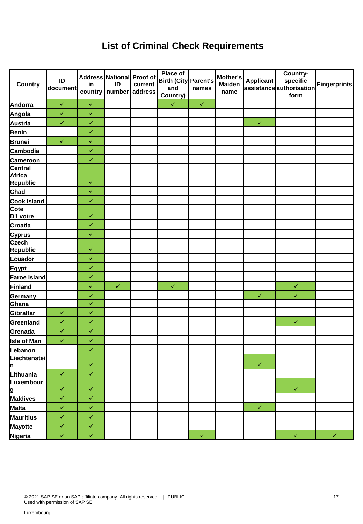### **List of Criminal Check Requirements**

| <b>Country</b>                                          | ID<br>document | in           | Address National Proof of<br>ID<br>country   number | current<br>address | <b>Place of</b><br>Birth (City Parent's<br>and<br>Country) | names        | Mother's<br><b>Maiden</b><br>name | <b>Applicant</b> | Country-<br>specific<br>assistanceauthorisation<br>form | <b>Fingerprints</b> |
|---------------------------------------------------------|----------------|--------------|-----------------------------------------------------|--------------------|------------------------------------------------------------|--------------|-----------------------------------|------------------|---------------------------------------------------------|---------------------|
| Andorra                                                 | $\checkmark$   | $\checkmark$ |                                                     |                    | $\checkmark$                                               | $\checkmark$ |                                   |                  |                                                         |                     |
| Angola                                                  | $\checkmark$   | $\checkmark$ |                                                     |                    |                                                            |              |                                   |                  |                                                         |                     |
| Austria                                                 | $\checkmark$   | $\checkmark$ |                                                     |                    |                                                            |              |                                   | $\checkmark$     |                                                         |                     |
| <b>Benin</b>                                            |                | $\checkmark$ |                                                     |                    |                                                            |              |                                   |                  |                                                         |                     |
| <b>Brunei</b>                                           | $\checkmark$   | $\checkmark$ |                                                     |                    |                                                            |              |                                   |                  |                                                         |                     |
| Cambodia                                                |                | $\checkmark$ |                                                     |                    |                                                            |              |                                   |                  |                                                         |                     |
|                                                         |                | $\checkmark$ |                                                     |                    |                                                            |              |                                   |                  |                                                         |                     |
| Cameroon<br>Central<br><b>Africa</b><br><b>Republic</b> |                | $\checkmark$ |                                                     |                    |                                                            |              |                                   |                  |                                                         |                     |
| Chad                                                    |                | $\checkmark$ |                                                     |                    |                                                            |              |                                   |                  |                                                         |                     |
|                                                         |                | $\checkmark$ |                                                     |                    |                                                            |              |                                   |                  |                                                         |                     |
| Cook Island<br>D'Lvoire                                 |                | $\checkmark$ |                                                     |                    |                                                            |              |                                   |                  |                                                         |                     |
| <b>Croatia</b>                                          |                | $\checkmark$ |                                                     |                    |                                                            |              |                                   |                  |                                                         |                     |
| <b>Cyprus</b>                                           |                | $\checkmark$ |                                                     |                    |                                                            |              |                                   |                  |                                                         |                     |
| <b>Czech</b><br><b>Republic</b>                         |                | $\checkmark$ |                                                     |                    |                                                            |              |                                   |                  |                                                         |                     |
| Ecuador                                                 |                | $\checkmark$ |                                                     |                    |                                                            |              |                                   |                  |                                                         |                     |
| Egypt                                                   |                | $\checkmark$ |                                                     |                    |                                                            |              |                                   |                  |                                                         |                     |
| Faroe Island                                            |                | $\checkmark$ |                                                     |                    |                                                            |              |                                   |                  |                                                         |                     |
| Finland                                                 |                | $\checkmark$ | $\checkmark$                                        |                    | $\checkmark$                                               |              |                                   |                  | $\checkmark$                                            |                     |
| Germany                                                 |                | $\checkmark$ |                                                     |                    |                                                            |              |                                   | $\checkmark$     | $\checkmark$                                            |                     |
| Ghana                                                   |                | $\checkmark$ |                                                     |                    |                                                            |              |                                   |                  |                                                         |                     |
| Gibraltar                                               | $\checkmark$   | $\checkmark$ |                                                     |                    |                                                            |              |                                   |                  |                                                         |                     |
| Greenland                                               | $\checkmark$   | $\checkmark$ |                                                     |                    |                                                            |              |                                   |                  | $\checkmark$                                            |                     |
| Grenada                                                 | $\checkmark$   | $\checkmark$ |                                                     |                    |                                                            |              |                                   |                  |                                                         |                     |
| <b>Isle of Man</b>                                      | $\checkmark$   | $\checkmark$ |                                                     |                    |                                                            |              |                                   |                  |                                                         |                     |
| Lebanon                                                 |                | $\checkmark$ |                                                     |                    |                                                            |              |                                   |                  |                                                         |                     |
| Liechtenstei<br><u> n</u>                               |                | $\checkmark$ |                                                     |                    |                                                            |              |                                   | $\checkmark$     |                                                         |                     |
| Lithuania                                               | $\checkmark$   | $\checkmark$ |                                                     |                    |                                                            |              |                                   |                  |                                                         |                     |
| Luxembour                                               |                |              |                                                     |                    |                                                            |              |                                   |                  |                                                         |                     |
| <u>lg</u>                                               | $\checkmark$   | $\checkmark$ |                                                     |                    |                                                            |              |                                   |                  | $\checkmark$                                            |                     |
| Maldives                                                | $\checkmark$   | $\checkmark$ |                                                     |                    |                                                            |              |                                   |                  |                                                         |                     |
| Malta                                                   | $\checkmark$   | $\checkmark$ |                                                     |                    |                                                            |              |                                   | $\checkmark$     |                                                         |                     |
| <b>Mauritius</b>                                        | $\checkmark$   | $\checkmark$ |                                                     |                    |                                                            |              |                                   |                  |                                                         |                     |
| <b>Mayotte</b>                                          | $\checkmark$   | $\checkmark$ |                                                     |                    |                                                            |              |                                   |                  |                                                         |                     |
| Nigeria                                                 | $\checkmark$   | $\checkmark$ |                                                     |                    |                                                            | $\checkmark$ |                                   |                  | $\checkmark$                                            | $\checkmark$        |